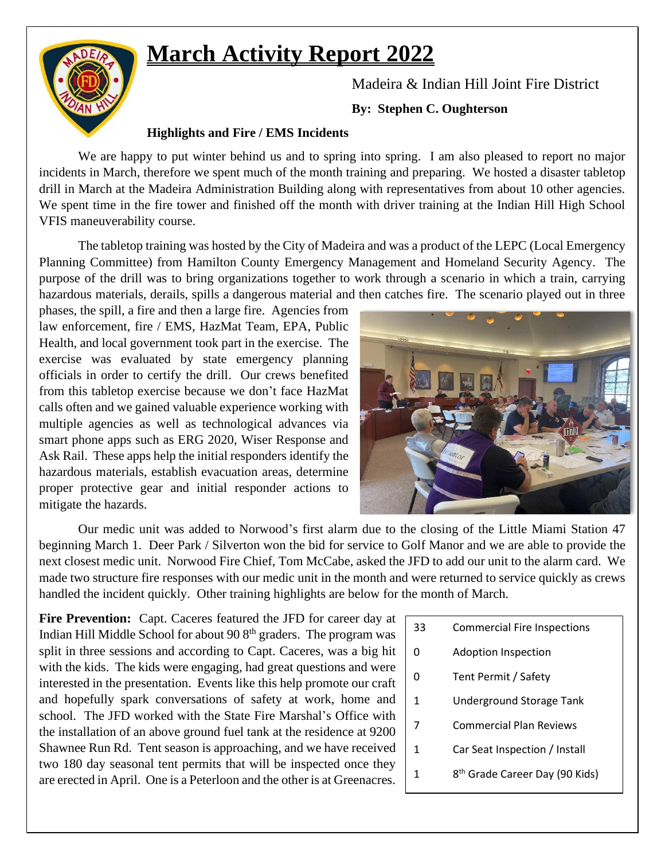# **March Activity Report 2022**



Madeira & Indian Hill Joint Fire District

### **By: Stephen C. Oughterson**

## **Highlights and Fire / EMS Incidents**

We are happy to put winter behind us and to spring into spring. I am also pleased to report no major incidents in March, therefore we spent much of the month training and preparing. We hosted a disaster tabletop drill in March at the Madeira Administration Building along with representatives from about 10 other agencies. We spent time in the fire tower and finished off the month with driver training at the Indian Hill High School VFIS maneuverability course.

The tabletop training was hosted by the City of Madeira and was a product of the LEPC (Local Emergency Planning Committee) from Hamilton County Emergency Management and Homeland Security Agency. The purpose of the drill was to bring organizations together to work through a scenario in which a train, carrying hazardous materials, derails, spills a dangerous material and then catches fire. The scenario played out in three

phases, the spill, a fire and then a large fire. Agencies from law enforcement, fire / EMS, HazMat Team, EPA, Public Health, and local government took part in the exercise. The exercise was evaluated by state emergency planning officials in order to certify the drill. Our crews benefited from this tabletop exercise because we don't face HazMat calls often and we gained valuable experience working with multiple agencies as well as technological advances via smart phone apps such as ERG 2020, Wiser Response and Ask Rail. These apps help the initial responders identify the hazardous materials, establish evacuation areas, determine proper protective gear and initial responder actions to mitigate the hazards.



Our medic unit was added to Norwood's first alarm due to the closing of the Little Miami Station 47 beginning March 1. Deer Park / Silverton won the bid for service to Golf Manor and we are able to provide the next closest medic unit. Norwood Fire Chief, Tom McCabe, asked the JFD to add our unit to the alarm card. We made two structure fire responses with our medic unit in the month and were returned to service quickly as crews handled the incident quickly. Other training highlights are below for the month of March.

Fire Prevention: Capt. Caceres featured the JFD for career day at Indian Hill Middle School for about 90  $8<sup>th</sup>$  graders. The program was split in three sessions and according to Capt. Caceres, was a big hit with the kids. The kids were engaging, had great questions and were interested in the presentation. Events like this help promote our craft and hopefully spark conversations of safety at work, home and school. The JFD worked with the State Fire Marshal's Office with the installation of an above ground fuel tank at the residence at 9200 Shawnee Run Rd. Tent season is approaching, and we have received two 180 day seasonal tent permits that will be inspected once they are erected in April. One is a Peterloon and the other is at Greenacres.

- 33 Commercial Fire Inspections
- 0 Adoption Inspection
- 0 Tent Permit / Safety
- 1 Underground Storage Tank
- 7 Commercial Plan Reviews
- 1 Car Seat Inspection / Install
- $1<sup>1</sup>$ 8<sup>th</sup> Grade Career Day (90 Kids)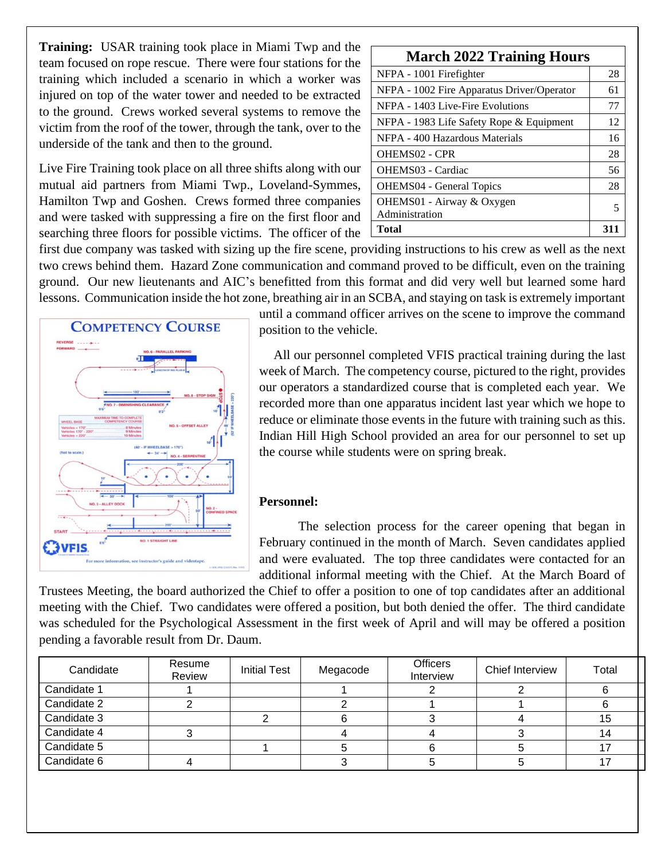**Training:** USAR training took place in Miami Twp and the team focused on rope rescue. There were four stations for the training which included a scenario in which a worker was injured on top of the water tower and needed to be extracted to the ground. Crews worked several systems to remove the victim from the roof of the tower, through the tank, over to the underside of the tank and then to the ground.

Live Fire Training took place on all three shifts along with our mutual aid partners from Miami Twp., Loveland-Symmes, Hamilton Twp and Goshen. Crews formed three companies and were tasked with suppressing a fire on the first floor and searching three floors for possible victims. The officer of the

| <b>March 2022 Training Hours</b>           |    |  |  |  |  |
|--------------------------------------------|----|--|--|--|--|
| NFPA - 1001 Firefighter                    | 28 |  |  |  |  |
| NFPA - 1002 Fire Apparatus Driver/Operator | 61 |  |  |  |  |
| NFPA - 1403 Live-Fire Evolutions           | 77 |  |  |  |  |
| NFPA - 1983 Life Safety Rope & Equipment   | 12 |  |  |  |  |
| NFPA - 400 Hazardous Materials             | 16 |  |  |  |  |
| OHEMS02 - CPR                              | 28 |  |  |  |  |
| OHEMS03 - Cardiac                          | 56 |  |  |  |  |
| <b>OHEMS04</b> - General Topics            | 28 |  |  |  |  |
| OHEMS01 - Airway & Oxygen                  | 5  |  |  |  |  |
| Administration                             |    |  |  |  |  |
| Total                                      | 31 |  |  |  |  |

first due company was tasked with sizing up the fire scene, providing instructions to his crew as well as the next two crews behind them. Hazard Zone communication and command proved to be difficult, even on the training ground. Our new lieutenants and AIC's benefitted from this format and did very well but learned some hard lessons. Communication inside the hot zone, breathing air in an SCBA, and staying on task is extremely important



until a command officer arrives on the scene to improve the command position to the vehicle.

All our personnel completed VFIS practical training during the last week of March. The competency course, pictured to the right, provides our operators a standardized course that is completed each year. We recorded more than one apparatus incident last year which we hope to reduce or eliminate those events in the future with training such as this. Indian Hill High School provided an area for our personnel to set up the course while students were on spring break.

#### **Personnel:**

The selection process for the career opening that began in February continued in the month of March. Seven candidates applied and were evaluated. The top three candidates were contacted for an additional informal meeting with the Chief. At the March Board of

Trustees Meeting, the board authorized the Chief to offer a position to one of top candidates after an additional meeting with the Chief. Two candidates were offered a position, but both denied the offer. The third candidate was scheduled for the Psychological Assessment in the first week of April and will may be offered a position pending a favorable result from Dr. Daum.

| Candidate   | Resume<br>Review | <b>Initial Test</b> | Megacode | <b>Officers</b><br>Interview | Chief Interview | Total |
|-------------|------------------|---------------------|----------|------------------------------|-----------------|-------|
| Candidate 1 |                  |                     |          |                              |                 |       |
| Candidate 2 |                  |                     |          |                              |                 |       |
| Candidate 3 |                  |                     |          |                              |                 | 15    |
| Candidate 4 |                  |                     |          |                              |                 | 14    |
| Candidate 5 |                  |                     |          |                              |                 |       |
| Candidate 6 |                  |                     |          |                              |                 |       |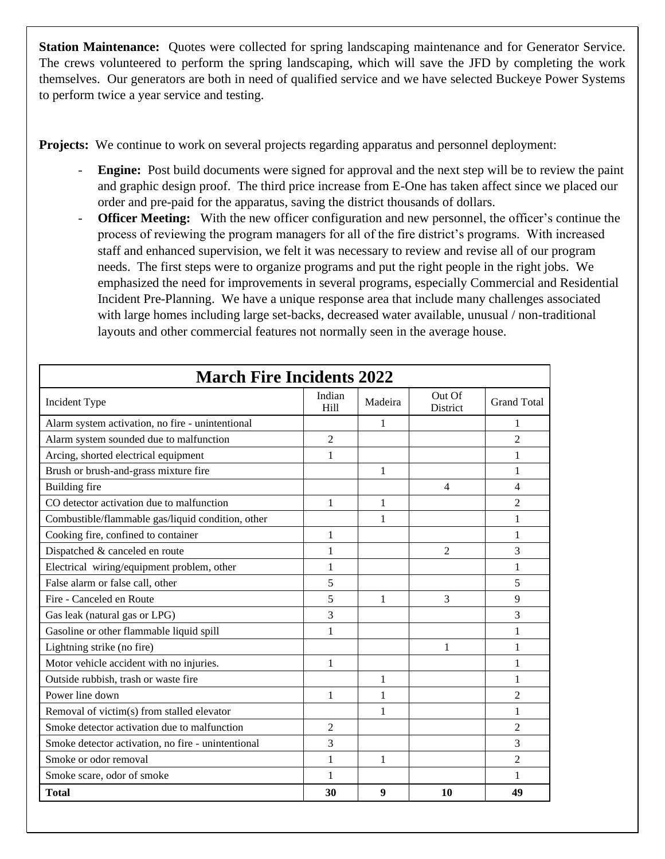**Station Maintenance:** Quotes were collected for spring landscaping maintenance and for Generator Service. The crews volunteered to perform the spring landscaping, which will save the JFD by completing the work themselves. Our generators are both in need of qualified service and we have selected Buckeye Power Systems to perform twice a year service and testing.

**Projects:** We continue to work on several projects regarding apparatus and personnel deployment:

- **Engine:** Post build documents were signed for approval and the next step will be to review the paint and graphic design proof. The third price increase from E-One has taken affect since we placed our order and pre-paid for the apparatus, saving the district thousands of dollars.
- **Officer Meeting:** With the new officer configuration and new personnel, the officer's continue the process of reviewing the program managers for all of the fire district's programs. With increased staff and enhanced supervision, we felt it was necessary to review and revise all of our program needs. The first steps were to organize programs and put the right people in the right jobs. We emphasized the need for improvements in several programs, especially Commercial and Residential Incident Pre-Planning. We have a unique response area that include many challenges associated with large homes including large set-backs, decreased water available, unusual / non-traditional layouts and other commercial features not normally seen in the average house.

| <b>March Fire Incidents 2022</b>                   |                            |              |                    |                    |  |  |  |
|----------------------------------------------------|----------------------------|--------------|--------------------|--------------------|--|--|--|
| Incident Type                                      | Indian<br>H <sub>ill</sub> | Madeira      | Out Of<br>District | <b>Grand Total</b> |  |  |  |
| Alarm system activation, no fire - unintentional   |                            | 1            |                    | 1                  |  |  |  |
| Alarm system sounded due to malfunction            | $\overline{2}$             |              |                    | $\overline{2}$     |  |  |  |
| Arcing, shorted electrical equipment               | 1                          |              |                    | 1                  |  |  |  |
| Brush or brush-and-grass mixture fire              |                            | 1            |                    | 1                  |  |  |  |
| <b>Building</b> fire                               |                            |              | $\overline{4}$     | $\overline{4}$     |  |  |  |
| CO detector activation due to malfunction          | 1                          | $\mathbf{1}$ |                    | $\overline{c}$     |  |  |  |
| Combustible/flammable gas/liquid condition, other  |                            | 1            |                    | 1                  |  |  |  |
| Cooking fire, confined to container                | 1                          |              |                    | 1                  |  |  |  |
| Dispatched & canceled en route                     | 1                          |              | $\overline{2}$     | 3                  |  |  |  |
| Electrical wiring/equipment problem, other         | 1                          |              |                    | 1                  |  |  |  |
| False alarm or false call, other                   | 5                          |              |                    | 5                  |  |  |  |
| Fire - Canceled en Route                           | 5                          | 1            | 3                  | 9                  |  |  |  |
| Gas leak (natural gas or LPG)                      | 3                          |              |                    | 3                  |  |  |  |
| Gasoline or other flammable liquid spill           | 1                          |              |                    | 1                  |  |  |  |
| Lightning strike (no fire)                         |                            |              | 1                  | 1                  |  |  |  |
| Motor vehicle accident with no injuries.           | 1                          |              |                    | 1                  |  |  |  |
| Outside rubbish, trash or waste fire               |                            | 1            |                    | 1                  |  |  |  |
| Power line down                                    | 1                          | 1            |                    | $\overline{2}$     |  |  |  |
| Removal of victim(s) from stalled elevator         |                            | 1            |                    | 1                  |  |  |  |
| Smoke detector activation due to malfunction       | 2                          |              |                    | $\overline{2}$     |  |  |  |
| Smoke detector activation, no fire - unintentional | 3                          |              |                    | 3                  |  |  |  |
| Smoke or odor removal                              | 1                          | 1            |                    | $\overline{c}$     |  |  |  |
| Smoke scare, odor of smoke                         | 1                          |              |                    | 1                  |  |  |  |
| <b>Total</b>                                       | 30                         | 9            | 10                 | 49                 |  |  |  |